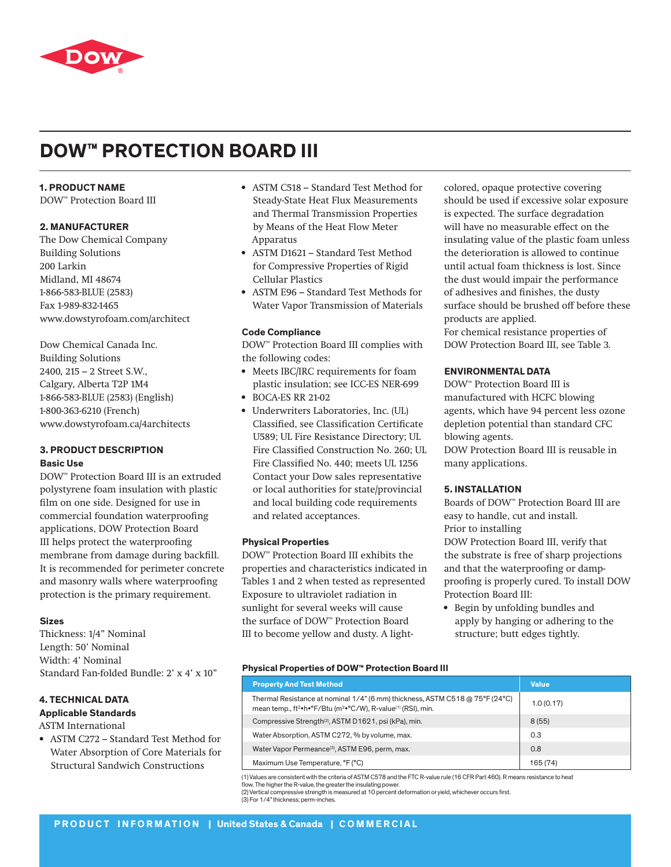

# **DOW™ PROTECTION BOARD III**

## **1. PRODUCT NAME**

DOW™ Protection Board III

## **2. MANUFACTURER**

The Dow Chemical Company Building Solutions 200 Larkin Midland, MI 48674 1-866-583-BLUE (2583) Fax 1-989-832-1465 www.dowstyrofoam.com/architect

Dow Chemical Canada Inc. Building Solutions 2400, 215 – 2 Street S.W., Calgary, Alberta T2P 1M4 1-866-583-BLUE (2583) (English) 1-800-363-6210 (French) www.dowstyrofoam.ca/4architects

## **3. PRODUCT DESCRIPTION Basic Use**

DOW™ Protection Board III is an extruded polystyrene foam insulation with plastic film on one side. Designed for use in commercial foundation waterproofing applications, DOW Protection Board III helps protect the waterproofing membrane from damage during backfill. It is recommended for perimeter concrete and masonry walls where waterproofing protection is the primary requirement.

## **Sizes**

Thickness: 1/4" Nominal Length: 50' Nominal Width: 4' Nominal Standard Fan-folded Bundle: 2' x 4' x 10"

## **4. TECHNICAL DATA Applicable Standards**

ASTM International

• ASTM C272 – Standard Test Method for Water Absorption of Core Materials for Structural Sandwich Constructions

- ASTM C518 Standard Test Method for Steady-State Heat Flux Measurements and Thermal Transmission Properties by Means of the Heat Flow Meter Apparatus
- ASTM D1621 Standard Test Method for Compressive Properties of Rigid Cellular Plastics
- ASTM E96 Standard Test Methods for Water Vapor Transmission of Materials

## **Code Compliance**

DOW™ Protection Board III complies with the following codes:

- Meets IBC/IRC requirements for foam plastic insulation; see ICC-ES NER-699
- BOCA-ES RR 21-02
- Underwriters Laboratories, Inc. (UL) Classified, see Classification Certificate U589; UL Fire Resistance Directory; UL Fire Classified Construction No. 260; UL Fire Classified No. 440; meets UL 1256 Contact your Dow sales representative or local authorities for state/provincial and local building code requirements and related acceptances.

## **Physical Properties**

DOW™ Protection Board III exhibits the properties and characteristics indicated in Tables 1 and 2 when tested as represented Exposure to ultraviolet radiation in sunlight for several weeks will cause the surface of DOW™ Protection Board III to become yellow and dusty. A lightcolored, opaque protective covering should be used if excessive solar exposure is expected. The surface degradation will have no measurable effect on the insulating value of the plastic foam unless the deterioration is allowed to continue until actual foam thickness is lost. Since the dust would impair the performance of adhesives and finishes, the dusty surface should be brushed off before these products are applied.

For chemical resistance properties of DOW Protection Board III, see Table 3.

## **ENVIRONMENTAL DATA**

DOW™ Protection Board III is manufactured with HCFC blowing agents, which have 94 percent less ozone depletion potential than standard CFC blowing agents.

DOW Protection Board III is reusable in many applications.

## **5. INSTALLATION**

Boards of DOW™ Protection Board III are easy to handle, cut and install. Prior to installing DOW Protection Board III, verify that

the substrate is free of sharp projections and that the waterproofing or dampproofing is properly cured. To install DOW Protection Board III:

• Begin by unfolding bundles and apply by hanging or adhering to the structure; butt edges tightly.

## **Physical Properties of DOW™ Protection Board III**

| <b>Property And Test Method</b>                                                                                                                                                  | <b>Value</b> |
|----------------------------------------------------------------------------------------------------------------------------------------------------------------------------------|--------------|
| Thermal Resistance at nominal 1/4" (6 mm) thickness, ASTM C518 @ 75°F (24°C)<br>mean temp., ft <sup>2</sup> •h•°F/Btu (m <sup>2</sup> •°C/W), R-value <sup>(1)</sup> (RSI), min. | 1.0(0.17)    |
| Compressive Strength <sup>(2)</sup> , ASTM D1621, psi (kPa), min.                                                                                                                | 8(55)        |
| Water Absorption, ASTM C272, % by volume, max.                                                                                                                                   | 0.3          |
| Water Vapor Permeance <sup>(3)</sup> , ASTM E96, perm, max.                                                                                                                      | 0.8          |
| Maximum Use Temperature, °F (°C)                                                                                                                                                 | 165 (74)     |

(1) Values are consistent with the criteria of ASTM C578 and the FTC R-value rule (16 CFR Part 460). R means resistance to heat flow. The higher the R-value, the greater the insulating power

(2) Vertical compressive strength is measured at 10 percent deformation or yield, whichever occurs first.

(3) For 1/4" thickness; perm-inches.